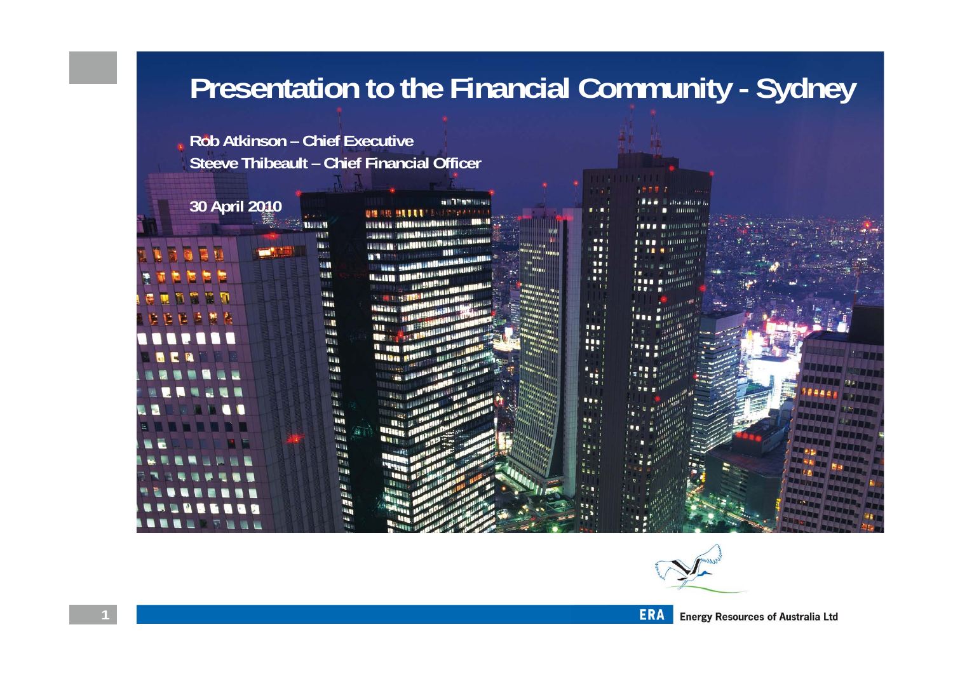## **Presentation to the Financial Community - Sydney**

 $111$  $...$ 

...

 $\blacksquare$ 

111 ..

...

... ...

■ を

**IIE** 

E N

**Rob Atkinson – Chief Executive Steeve Thibeault – Chief Financial Officer**

> **HARRAN** ii in

> > u.

Han

**REM** 

**WE** 

155.4 **WEEK** Will **LLT** 

> **LEW** ILLI

> > **ISS ALM** 5511

> > > uu.

WH

l La a **Willia** 甲酮 **TABLE Hills** 

i ggBF

#### **30 April 2010**

**Nacht II** 

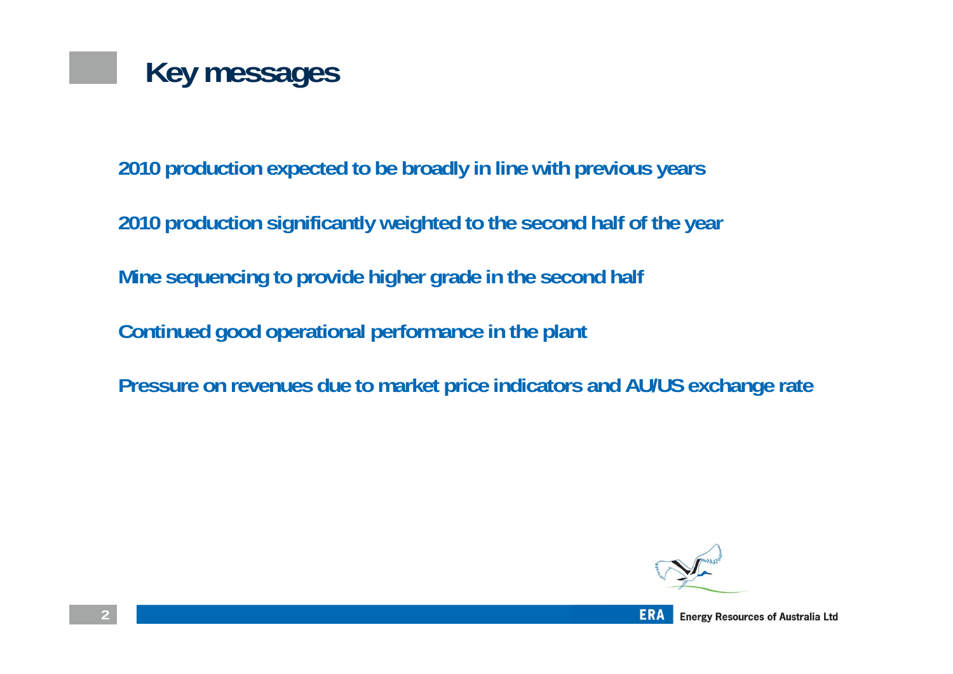

**2010 production expected to be broadly in line with previous years**

**2010 production significantly weighted to the second half of the year**

**Mine sequencing to provide higher grade in the second half**

**Continued good operational performance in the plant**

**Pressure on revenues due to market price indicators and AU/US exchange rate**

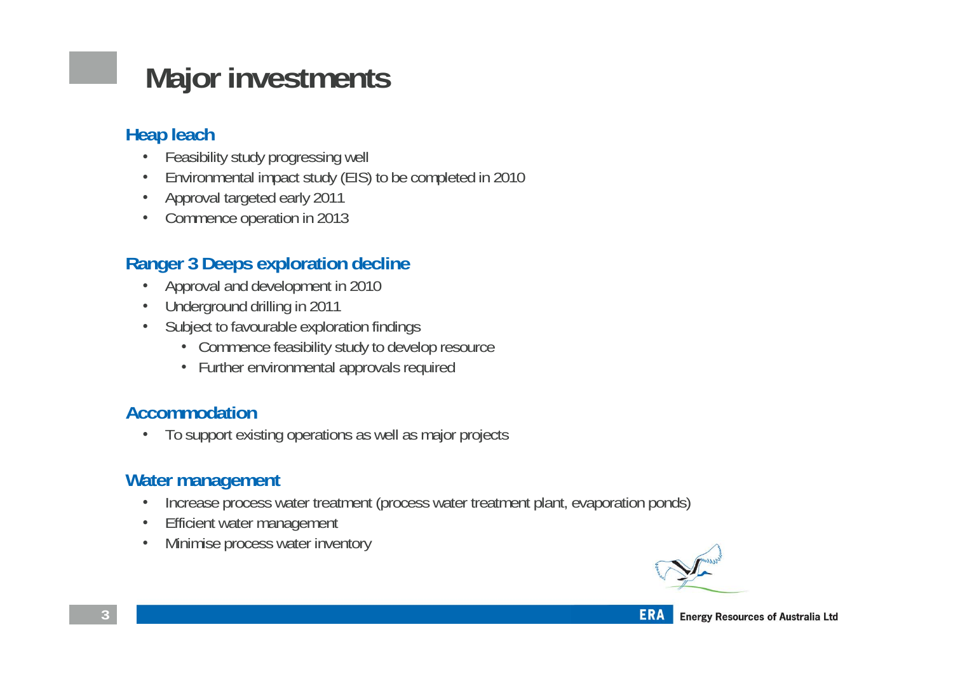# **Major investments**

#### **Heap leach**

- Feasibility study progressing well
- Environmental impact study (EIS) to be completed in 2010
- Approval targeted early 2011
- Commence operation in 2013

#### **Ranger 3 Deeps exploration decline**

- Approval and development in 2010
- Underground drilling in 2011
- Subject to favourable exploration findings
	- Commence feasibility study to develop resource
	- Further environmental approvals required

#### **Accommodation**

• To support existing operations as well as major projects

#### **Water management**

- Increase process water treatment (process water treatment plant, evaporation ponds)
- Efficient water management
- Minimise process water inventory